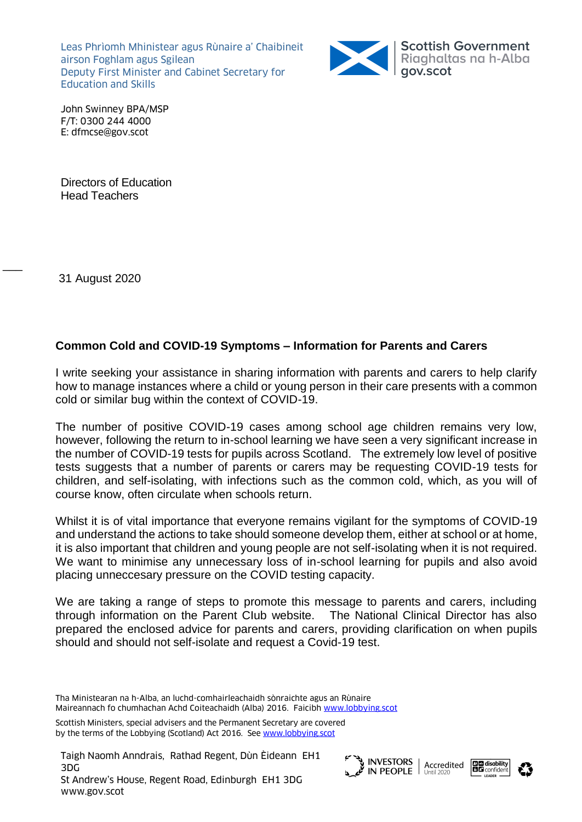Leas Phrìomh Mhinistear agus Rùnaire a' Chaibineit airson Foghlam agus Sgilean Deputy First Minister and Cabinet Secretary for Education and Skills



John Swinney BPA/MSP F/T: 0300 244 4000 E: dfmcse@gov.scot

Directors of Education Head Teachers

31 August 2020

 $\overline{\phantom{a}}$ 

## **Common Cold and COVID-19 Symptoms – Information for Parents and Carers**

I write seeking your assistance in sharing information with parents and carers to help clarify how to manage instances where a child or young person in their care presents with a common cold or similar bug within the context of COVID-19.

The number of positive COVID-19 cases among school age children remains very low, however, following the return to in-school learning we have seen a very significant increase in the number of COVID-19 tests for pupils across Scotland. The extremely low level of positive tests suggests that a number of parents or carers may be requesting COVID-19 tests for children, and self-isolating, with infections such as the common cold, which, as you will of course know, often circulate when schools return.

Whilst it is of vital importance that everyone remains vigilant for the symptoms of COVID-19 and understand the actions to take should someone develop them, either at school or at home, it is also important that children and young people are not self-isolating when it is not required. We want to minimise any unnecessary loss of in-school learning for pupils and also avoid placing unneccesary pressure on the COVID testing capacity.

We are taking a range of steps to promote this message to parents and carers, including through information on the Parent CIub website. The National Clinical Director has also prepared the enclosed advice for parents and carers, providing clarification on when pupils should and should not self-isolate and request a Covid-19 test.

Scottish Ministers, special advisers and the Permanent Secretary are covered by the terms of the Lobbying (Scotland) Act 2016. Se[e www.lobbying.scot](http://www.lobbying.scot/)







Tha Ministearan na h-Alba, an luchd-comhairleachaidh sònraichte agus an Rùnaire Maireannach fo chumhachan Achd Coiteachaidh (Alba) 2016. Faicibh [www.lobbying.scot](http://www.lobbying.scot/)